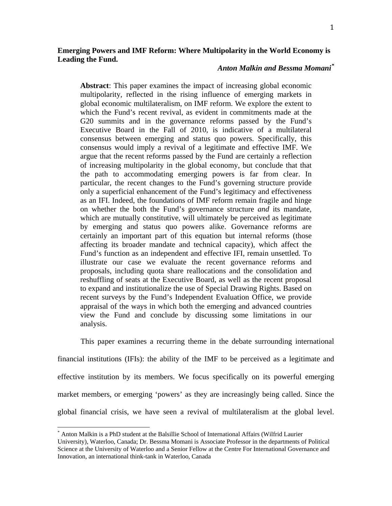# **Emerging Powers and IMF Reform: Where Multipolarity in the World Economy is Leading the Fund.**

# *Anton Malkin and Bessma Momani[\\*](#page-0-0)*

**Abstract**: This paper examines the impact of increasing global economic multipolarity, reflected in the rising influence of emerging markets in global economic multilateralism, on IMF reform. We explore the extent to which the Fund's recent revival, as evident in commitments made at the G20 summits and in the governance reforms passed by the Fund's Executive Board in the Fall of 2010, is indicative of a multilateral consensus between emerging and status quo powers. Specifically, this consensus would imply a revival of a legitimate and effective IMF. We argue that the recent reforms passed by the Fund are certainly a reflection of increasing multipolarity in the global economy, but conclude that that the path to accommodating emerging powers is far from clear. In particular, the recent changes to the Fund's governing structure provide only a superficial enhancement of the Fund's legitimacy and effectiveness as an IFI. Indeed, the foundations of IMF reform remain fragile and hinge on whether the both the Fund's governance structure *and* its mandate, which are mutually constitutive, will ultimately be perceived as legitimate by emerging and status quo powers alike. Governance reforms are certainly an important part of this equation but internal reforms (those affecting its broader mandate and technical capacity), which affect the Fund's function as an independent and effective IFI, remain unsettled. To illustrate our case we evaluate the recent governance reforms and proposals, including quota share reallocations and the consolidation and reshuffling of seats at the Executive Board, as well as the recent proposal to expand and institutionalize the use of Special Drawing Rights. Based on recent surveys by the Fund's Independent Evaluation Office, we provide appraisal of the ways in which both the emerging and advanced countries view the Fund and conclude by discussing some limitations in our analysis.

global financial crisis, we ha ve seen a revival of multilateralism at the global level. This paper examines a recurring theme in the debate surrounding international financial institutions (IFIs): the ability of the IMF to be perceived as a legitimate and effective institution by its members. We focus specifically on its powerful emerging market members, or emerging 'powers' as they are increasingly being called. Since the

<sup>\*</sup> Anton Malkin is a PhD student at the Balsillie School of International Affairs (Wilfrid Laurier

<span id="page-0-0"></span>University), Waterloo, Canada; Dr. Bessma Momani is Associate Professor in the departments of Political Science at the University of Waterloo and a Senior Fellow at the Centre For International Governance and Innovation, an international think-tank in Waterloo, Canada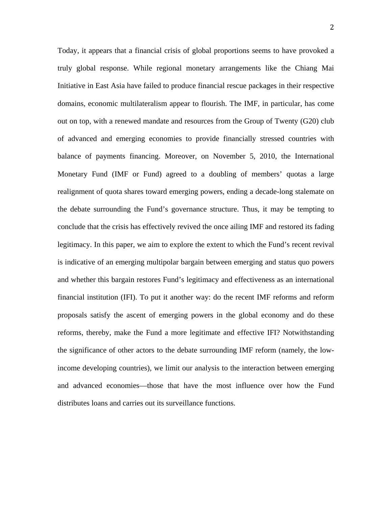Today, it appears that a financial crisis of global proportions seems to have provoked a truly global response. While regional monetary arrangements like the Chiang Mai Initiative in East Asia have failed to produce financial rescue packages in their respective domains, economic multilateralism appear to flourish. The IMF, in particular, has come out on top, with a renewed mandate and resources from the Group of Twenty (G20) club of advanced and emerging economies to provide financially stressed countries with balance of payments financing. Moreover, on November 5, 2010, the International Monetary Fund (IMF or Fund) agreed to a doubling of members' quotas a large realignment of quota shares toward emerging powers, ending a decade-long stalemate on the debate surrounding the Fund's governance structure. Thus, it may be tempting to conclude that the crisis has effectively revived the once ailing IMF and restored its fading legitimacy. In this paper, we aim to explore the extent to which the Fund's recent revival is indicative of an emerging multipolar bargain between emerging and status quo powers and whether this bargain restores Fund's legitimacy and effectiveness as an international financial institution (IFI). To put it another way: do the recent IMF reforms and reform proposals satisfy the ascent of emerging powers in the global economy and do these reforms, thereby, make the Fund a more legitimate and effective IFI? Notwithstanding the significance of other actors to the debate surrounding IMF reform (namely, the lowincome developing countries), we limit our analysis to the interaction between emerging and advanced economies—those that have the most influence over how the Fund distributes loans and carries out its surveillance functions.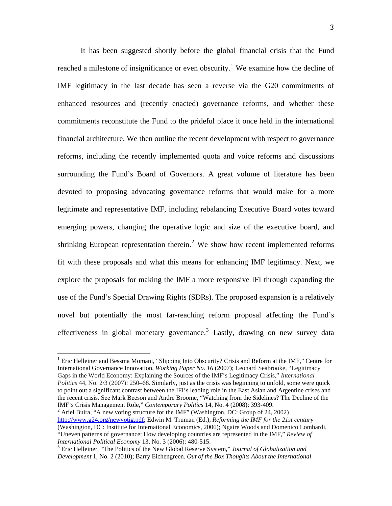effectiveness in global monetary governance.<sup>[3](#page-2-2)</sup> Lastly, drawing on new survey data It has been suggested shortly before the global financial crisis that the Fund reached a milestone of insignificance or even obscurity.<sup>[1](#page-2-0)</sup> We examine how the decline of IMF legitimacy in the last decade has seen a reverse via the G20 commitments of enhanced resources and (recently enacted) governance reforms, and whether these commitments reconstitute the Fund to the prideful place it once held in the international financial architecture. We then outline the recent development with respect to governance reforms, including the recently implemented quota and voice reforms and discussions surrounding the Fund's Board of Governors. A great volume of literature has been devoted to proposing advocating governance reforms that would make for a more legitimate and representative IMF, including rebalancing Executive Board votes toward emerging powers, changing the operative logic and size of the executive board, and shrinking European representation therein.<sup>[2](#page-2-1)</sup> We show how recent implemented reforms fit with these proposals and what this means for enhancing IMF legitimacy. Next, we explore the proposals for making the IMF a more responsive IFI through expanding the use of the Fund's Special Drawing Rights (SDRs). The proposed expansion is a relatively novel but potentially the most far-reaching reform proposal affecting the Fund's

<span id="page-2-0"></span><sup>1</sup> Eric Helleiner and Bessma Momani, "Slipping Into Obscurity? Crisis and Reform at the IMF," Centre for International Governance Innovation, *Working Paper No. 16* (2007); Leonard Seabrooke, "Legitimacy Gaps in the World Economy: Explaining the Sources of the IMF's Legitimacy Crisis," *International Politics* 44, No. 2/3 (2007): 250–68. Similarly, just as the crisis was beginning to unfold, some were quick to point out a significant contrast between the IFI's leading role in the East Asian and Argentine crises and the recent crisis. See Mark Beeson and Andre Broome, "Watching from the Sidelines? The Decline of the IMF's Crisis Management Role," *Contemporary Politics* 14, No. 4 (2008): 393-409. <sup>2</sup>

<span id="page-2-1"></span><sup>2</sup> Ariel Buira, "A new voting structure for the IMF" (Washington, DC: Group of 24, 2002) [http://www.g24.org/newvotig.pdf;](http://www.g24.org/newvotig.pdf) Edwin M. Truman (Ed.), *Reforming the IMF for the 21st century* (Washington, DC: Institute for International Economics, 2006); Ngaire Woods and Domenico Lombardi, "Uneven patterns of governance: How developing countries are represented in the IMF," *Review of International Political Economy* 13, No. 3 (2006): 480-515. 3

<span id="page-2-2"></span>Eric Helleiner, "The Politics of the New Global Reserve System," *Journal of Globalization and Development* 1, No. 2 (2010); Barry Eichengreen. *Out of the Box Thoughts About the International*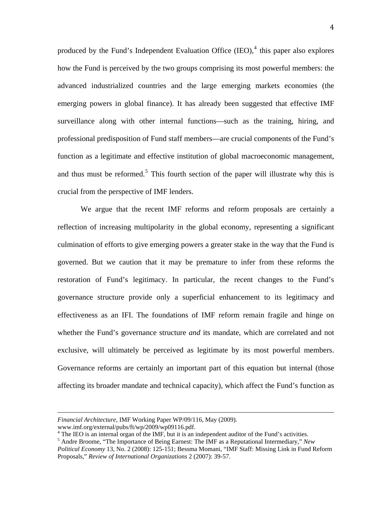produced by the Fund's Independent Evaluation Office  $(IEO)$ ,  $4$  this paper also explores how the Fund is perceived by the two groups comprising its most powerful members: the advanced industrialized countries and the large emerging markets economies (the emerging powers in global finance). It has already been suggested that effective IMF surveillance along with other internal functions—such as the training, hiring, and professional predisposition of Fund staff members—are crucial components of the Fund's function as a legitimate and effective institution of global macroeconomic management, and thus must be reformed.<sup>[5](#page-3-1)</sup> This fourth section of the paper will illustrate why this is crucial from the perspective of IMF lenders.

We argue that the recent IMF reforms and reform proposals are certainly a reflection of increasing multipolarity in the global economy, representing a significant culmination of efforts to give emerging powers a greater stake in the way that the Fund is governed. But we caution that it may be premature to infer from these reforms the restoration of Fund's legitimacy. In particular, the recent changes to the Fund's governance structure provide only a superficial enhancement to its legitimacy and effectiveness as an IFI. The foundations of IMF reform remain fragile and hinge on whether the Fund's governance structure *and* its mandate, which are correlated and not exclusive, will ultimately be perceived as legitimate by its most powerful members. Governance reforms are certainly an important part of this equation but internal (those affecting its broader mandate and technical capacity), which affect the Fund's function as

<u> 1989 - Andrea San Andrea San Andrea San Andrea San Andrea San Andrea San Andrea San Andrea San Andrea San An</u>

*Financial Architecture*, IMF Working Paper WP/09/116, May (2009).

www.imf.org/external/pubs/ft/wp/2009/wp09116.pdf.

<sup>&</sup>lt;sup>4</sup> The IEO is an internal organ of the IMF, but it is an independent auditor of the Fund's activities.

<span id="page-3-1"></span><span id="page-3-0"></span><sup>5</sup> Andre Broome, "The Importance of Being Earnest: The IMF as a Reputational Intermediary," *New Political Economy* 13, No. 2 (2008): 125-151; Bessma Momani, "IMF Staff: Missing Link in Fund Reform Proposals," *Review of International Organizations* 2 (2007): 39-57.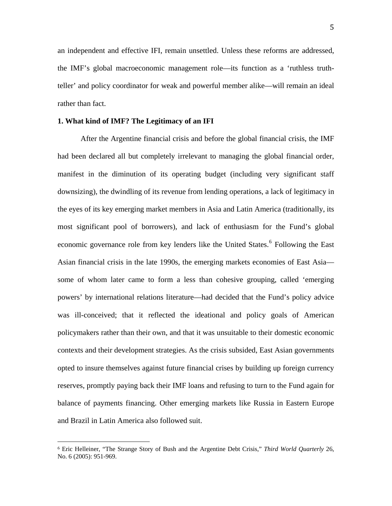an independent and effective IFI, remain unsettled. Unless these reforms are addressed, the IMF's global macroeconomic management role—its function as a 'ruthless truthteller' and policy coordinator for weak and powerful member alike—will remain an ideal rather than fact.

## **1. What kind of IMF? The Legitimacy of an IFI**

and Brazil in Latin America al so followed suit. After the Argentine financial crisis and before the global financial crisis, the IMF had been declared all but completely irrelevant to managing the global financial order, manifest in the diminution of its operating budget (including very significant staff downsizing), the dwindling of its revenue from lending operations, a lack of legitimacy in the eyes of its key emerging market members in Asia and Latin America (traditionally, its most significant pool of borrowers), and lack of enthusiasm for the Fund's global economic governance role from key lenders like the United States.<sup>[6](#page-4-0)</sup> Following the East Asian financial crisis in the late 1990s, the emerging markets economies of East Asia some of whom later came to form a less than cohesive grouping, called 'emerging powers' by international relations literature—had decided that the Fund's policy advice was ill-conceived; that it reflected the ideational and policy goals of American policymakers rather than their own, and that it was unsuitable to their domestic economic contexts and their development strategies. As the crisis subsided, East Asian governments opted to insure themselves against future financial crises by building up foreign currency reserves, promptly paying back their IMF loans and refusing to turn to the Fund again for balance of payments financing. Other emerging markets like Russia in Eastern Europe

L,

<span id="page-4-0"></span><sup>6</sup> Eric Helleiner, "The Strange Story of Bush and the Argentine Debt Crisis," *Third World Quarterly* 26, No. 6 (2005): 951-969.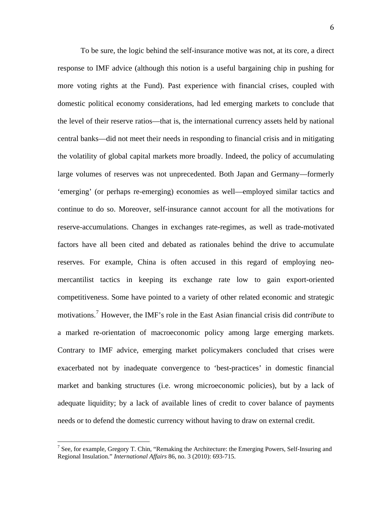needs or to defend the domesti c currency without having to draw on external credit. To be sure, the logic behind the self-insurance motive was not, at its core, a direct response to IMF advice (although this notion is a useful bargaining chip in pushing for more voting rights at the Fund). Past experience with financial crises, coupled with domestic political economy considerations, had led emerging markets to conclude that the level of their reserve ratios—that is, the international currency assets held by national central banks—did not meet their needs in responding to financial crisis and in mitigating the volatility of global capital markets more broadly. Indeed, the policy of accumulating large volumes of reserves was not unprecedented. Both Japan and Germany—formerly 'emerging' (or perhaps re-emerging) economies as well—employed similar tactics and continue to do so. Moreover, self-insurance cannot account for all the motivations for reserve-accumulations. Changes in exchanges rate-regimes, as well as trade-motivated factors have all been cited and debated as rationales behind the drive to accumulate reserves. For example, China is often accused in this regard of employing neomercantilist tactics in keeping its exchange rate low to gain export-oriented competitiveness. Some have pointed to a variety of other related economic and strategic motivations.[7](#page-5-0) However, the IMF's role in the East Asian financial crisis did *contribute* to a marked re-orientation of macroeconomic policy among large emerging markets. Contrary to IMF advice, emerging market policymakers concluded that crises were exacerbated not by inadequate convergence to 'best-practices' in domestic financial market and banking structures (i.e. wrong microeconomic policies), but by a lack of adequate liquidity; by a lack of available lines of credit to cover balance of payments

<span id="page-5-0"></span><sup>&</sup>lt;sup>7</sup> See, for example, Gregory T. Chin, "Remaking the Architecture: the Emerging Powers, Self-Insuring and Regional Insulation." *International Affairs* 86, no. 3 (2010): 693-715.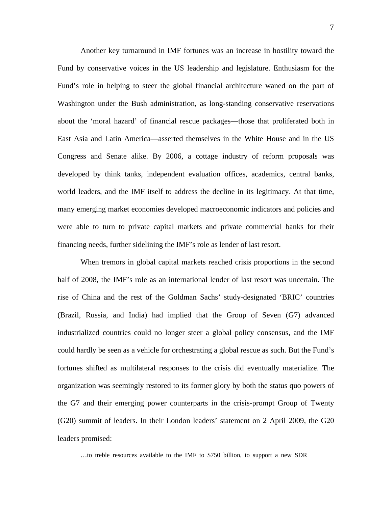Another key turnaround in IMF fortunes was an increase in hostility toward the Fund by conservative voices in the US leadership and legislature. Enthusiasm for the Fund's role in helping to steer the global financial architecture waned on the part of Washington under the Bush administration, as long-standing conservative reservations about the 'moral hazard' of financial rescue packages—those that proliferated both in East Asia and Latin America—asserted themselves in the White House and in the US Congress and Senate alike. By 2006, a cottage industry of reform proposals was developed by think tanks, independent evaluation offices, academics, central banks, world leaders, and the IMF itself to address the decline in its legitimacy. At that time, many emerging market economies developed macroeconomic indicators and policies and were able to turn to private capital markets and private commercial banks for their financing needs, further sidelining the IMF's role as lender of last resort.

When tremors in global capital markets reached crisis proportions in the second half of 2008, the IMF's role as an international lender of last resort was uncertain. The rise of China and the rest of the Goldman Sachs' study-designated 'BRIC' countries (Brazil, Russia, and India) had implied that the Group of Seven (G7) advanced industrialized countries could no longer steer a global policy consensus, and the IMF could hardly be seen as a vehicle for orchestrating a global rescue as such. But the Fund's fortunes shifted as multilateral responses to the crisis did eventually materialize. The organization was seemingly restored to its former glory by both the status quo powers of the G7 and their emerging power counterparts in the crisis-prompt Group of Twenty (G20) summit of leaders. In their London leaders' statement on 2 April 2009, the G20 leaders promised:

…to treble resources available to the IMF to \$750 billion, to support a new SDR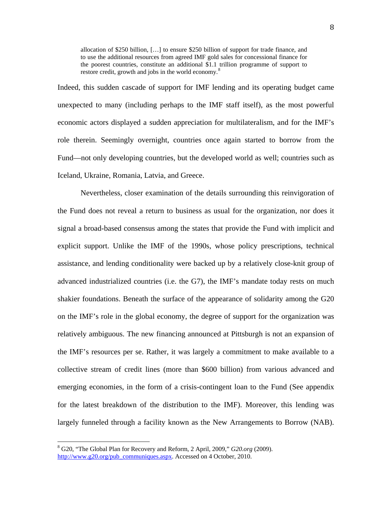allocation of \$250 billion, […] to ensure \$250 billion of support for trade finance, and to use the additional resources from agreed IMF gold sales for concessional finance for the poorest countries, constitute an additional \$1.1 trillion programme of support to restore credit, growth and jobs in the world economy.<sup>[8](#page-7-0)</sup>

Indeed, this sudden cascade of support for IMF lending and its operating budget came unexpected to many (including perhaps to the IMF staff itself), as the most powerful economic actors displayed a sudden appreciation for multilateralism, and for the IMF's role therein. Seemingly overnight, countries once again started to borrow from the Fund—not only developing countries, but the developed world as well; countries such as Iceland, Ukraine, Romania, Latvia, and Greece.

largely funneled through a facility known as the New Arrangements to Borrow (NAB). Nevertheless, closer examination of the details surrounding this reinvigoration of the Fund does not reveal a return to business as usual for the organization, nor does it signal a broad-based consensus among the states that provide the Fund with implicit and explicit support. Unlike the IMF of the 1990s, whose policy prescriptions, technical assistance, and lending conditionality were backed up by a relatively close-knit group of advanced industrialized countries (i.e. the G7), the IMF's mandate today rests on much shakier foundations. Beneath the surface of the appearance of solidarity among the G20 on the IMF's role in the global economy, the degree of support for the organization was relatively ambiguous. The new financing announced at Pittsburgh is not an expansion of the IMF's resources per se. Rather, it was largely a commitment to make available to a collective stream of credit lines (more than \$600 billion) from various advanced and emerging economies, in the form of a crisis-contingent loan to the Fund (See appendix for the latest breakdown of the distribution to the IMF). Moreover, this lending was

<span id="page-7-0"></span><sup>8</sup> G20, "The Global Plan for Recovery and Reform, 2 April, 2009," *G20.org* (2009). [http://www.g20.org/pub\\_communiques.aspx.](http://www.g20.org/pub_communiques.aspx) Accessed on 4 October, 2010.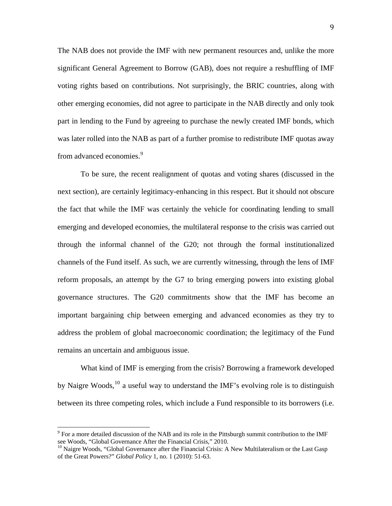The NAB does not provide the IMF with new permanent resources and, unlike the more significant General Agreement to Borrow (GAB), does not require a reshuffling of IMF voting rights based on contributions. Not surprisingly, the BRIC countries, along with other emerging economies, did not agree to participate in the NAB directly and only took part in lending to the Fund by agreeing to purchase the newly created IMF bonds, which was later rolled into the NAB as part of a further promise to redistribute IMF quotas away from advanced economies.<sup>[9](#page-8-0)</sup>

To be sure, the recent realignment of quotas and voting shares (discussed in the next section), are certainly legitimacy-enhancing in this respect. But it should not obscure the fact that while the IMF was certainly the vehicle for coordinating lending to small emerging and developed economies, the multilateral response to the crisis was carried out through the informal channel of the G20; not through the formal institutionalized channels of the Fund itself. As such, we are currently witnessing, through the lens of IMF reform proposals, an attempt by the G7 to bring emerging powers into existing global governance structures. The G20 commitments show that the IMF has become an important bargaining chip between emerging and advanced economies as they try to address the problem of global macroeconomic coordination; the legitimacy of the Fund remains an uncertain and ambiguous issue.

What kind of IMF is emerging from the crisis? Borrowing a framework developed by Naigre Woods,  $^{10}$  $^{10}$  $^{10}$  a useful way to understand the IMF's evolving role is to distinguish between its three competing roles, which include a Fund responsible to its borrowers (i.e.

 $\overline{\phantom{a}}$ 

<span id="page-8-0"></span> $9$  For a more detailed discussion of the NAB and its role in the Pittsburgh summit contribution to the IMF see Woods, "Global Governance After the Financial Crisis," 2010.

<span id="page-8-1"></span> $10$  Naigre Woods, "Global Governance after the Financial Crisis: A New Multilateralism or the Last Gasp of the Great Powers?" *Global Policy* 1, no. 1 (2010): 51-63.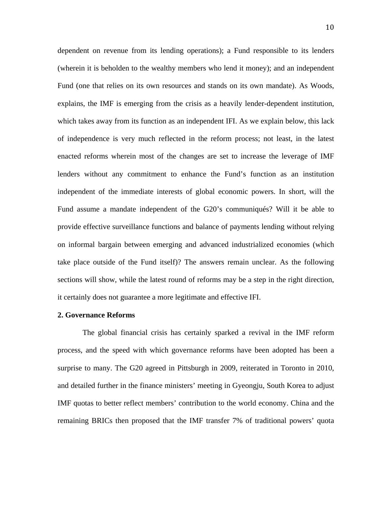dependent on revenue from its lending operations); a Fund responsible to its lenders (wherein it is beholden to the wealthy members who lend it money); and an independent Fund (one that relies on its own resources and stands on its own mandate). As Woods, explains, the IMF is emerging from the crisis as a heavily lender-dependent institution, which takes away from its function as an independent IFI. As we explain below, this lack of independence is very much reflected in the reform process; not least, in the latest enacted reforms wherein most of the changes are set to increase the leverage of IMF lenders without any commitment to enhance the Fund's function as an institution independent of the immediate interests of global economic powers. In short, will the Fund assume a mandate independent of the G20's communiqués? Will it be able to provide effective surveillance functions and balance of payments lending without relying on informal bargain between emerging and advanced industrialized economies (which take place outside of the Fund itself)? The answers remain unclear. As the following sections will show, while the latest round of reforms may be a step in the right direction, it certainly does not guarantee a more legitimate and effective IFI.

### **2. Governance Reforms**

 The global financial crisis has certainly sparked a revival in the IMF reform process, and the speed with which governance reforms have been adopted has been a surprise to many. The G20 agreed in Pittsburgh in 2009, reiterated in Toronto in 2010, and detailed further in the finance ministers' meeting in Gyeongju, South Korea to adjust IMF quotas to better reflect members' contribution to the world economy. China and the remaining BRICs then proposed that the IMF transfer 7% of traditional powers' quota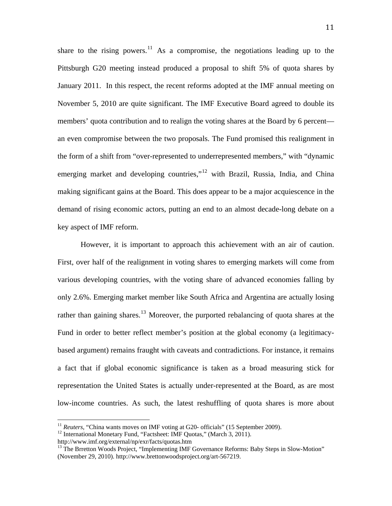share to the rising powers.<sup>[11](#page-10-0)</sup> As a compromise, the negotiations leading up to the Pittsburgh G20 meeting instead produced a proposal to shift 5% of quota shares by January 2011. In this respect, the recent reforms adopted at the IMF annual meeting on November 5, 2010 are quite significant. The IMF Executive Board agreed to double its members' quota contribution and to realign the voting shares at the Board by 6 percent an even compromise between the two proposals. The Fund promised this realignment in the form of a shift from "over-represented to underrepresented members," with "dynamic emerging market and developing countries,"<sup>[12](#page-10-1)</sup> with Brazil, Russia, India, and China making significant gains at the Board. This does appear to be a major acquiescence in the demand of rising economic actors, putting an end to an almost decade-long debate on a key aspect of IMF reform.

low-income countries. As such, the latest reshuffling of quota shares is more about However, it is important to approach this achievement with an air of caution. First, over half of the realignment in voting shares to emerging markets will come from various developing countries, with the voting share of advanced economies falling by only 2.6%. Emerging market member like South Africa and Argentina are actually losing rather than gaining shares.<sup>[13](#page-10-2)</sup> Moreover, the purported rebalancing of quota shares at the Fund in order to better reflect member's position at the global economy (a legitimacybased argument) remains fraught with caveats and contradictions. For instance, it remains a fact that if global economic significance is taken as a broad measuring stick for representation the United States is actually under-represented at the Board, as are most

<span id="page-10-0"></span><sup>&</sup>lt;sup>11</sup> *Reuters*, "China wants moves on IMF voting at G20- officials" (15 September 2009).<br><sup>12</sup> International Monetary Fund, "Factsheet: IMF Quotas," (March 3, 2011).

<span id="page-10-1"></span>

http://www.imf.org/external/np/exr/facts/quotas.htm

<span id="page-10-2"></span><sup>&</sup>lt;sup>13</sup> The Brretton Woods Project, "Implementing IMF Governance Reforms: Baby Steps in Slow-Motion" (November 29, 2010). http://www.brettonwoodsproject.org/art-567219.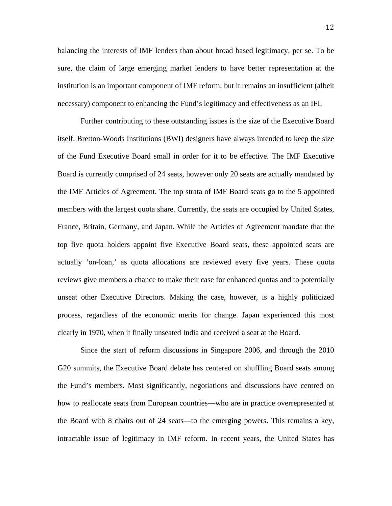balancing the interests of IMF lenders than about broad based legitimacy, per se. To be sure, the claim of large emerging market lenders to have better representation at the institution is an important component of IMF reform; but it remains an insufficient (albeit necessary) component to enhancing the Fund's legitimacy and effectiveness as an IFI.

 Further contributing to these outstanding issues is the size of the Executive Board itself. Bretton-Woods Institutions (BWI) designers have always intended to keep the size of the Fund Executive Board small in order for it to be effective. The IMF Executive Board is currently comprised of 24 seats, however only 20 seats are actually mandated by the IMF Articles of Agreement. The top strata of IMF Board seats go to the 5 appointed members with the largest quota share. Currently, the seats are occupied by United States, France, Britain, Germany, and Japan. While the Articles of Agreement mandate that the top five quota holders appoint five Executive Board seats, these appointed seats are actually 'on-loan,' as quota allocations are reviewed every five years. These quota reviews give members a chance to make their case for enhanced quotas and to potentially unseat other Executive Directors. Making the case, however, is a highly politicized process, regardless of the economic merits for change. Japan experienced this most clearly in 1970, when it finally unseated India and received a seat at the Board.

Since the start of reform discussions in Singapore 2006, and through the 2010 G20 summits, the Executive Board debate has centered on shuffling Board seats among the Fund's members. Most significantly, negotiations and discussions have centred on how to reallocate seats from European countries—who are in practice overrepresented at the Board with 8 chairs out of 24 seats—to the emerging powers. This remains a key, intractable issue of legitimacy in IMF reform. In recent years, the United States has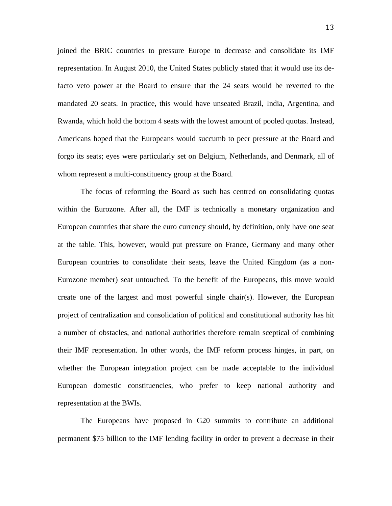joined the BRIC countries to pressure Europe to decrease and consolidate its IMF representation. In August 2010, the United States publicly stated that it would use its defacto veto power at the Board to ensure that the 24 seats would be reverted to the mandated 20 seats. In practice, this would have unseated Brazil, India, Argentina, and Rwanda, which hold the bottom 4 seats with the lowest amount of pooled quotas. Instead, Americans hoped that the Europeans would succumb to peer pressure at the Board and forgo its seats; eyes were particularly set on Belgium, Netherlands, and Denmark, all of whom represent a multi-constituency group at the Board.

The focus of reforming the Board as such has centred on consolidating quotas within the Eurozone. After all, the IMF is technically a monetary organization and European countries that share the euro currency should, by definition, only have one seat at the table. This, however, would put pressure on France, Germany and many other European countries to consolidate their seats, leave the United Kingdom (as a non-Eurozone member) seat untouched. To the benefit of the Europeans, this move would create one of the largest and most powerful single chair(s). However, the European project of centralization and consolidation of political and constitutional authority has hit a number of obstacles, and national authorities therefore remain sceptical of combining their IMF representation. In other words, the IMF reform process hinges, in part, on whether the European integration project can be made acceptable to the individual European domestic constituencies, who prefer to keep national authority and representation at the BWIs.

The Europeans have proposed in G20 summits to contribute an additional permanent \$75 billion to the IMF lending facility in order to prevent a decrease in their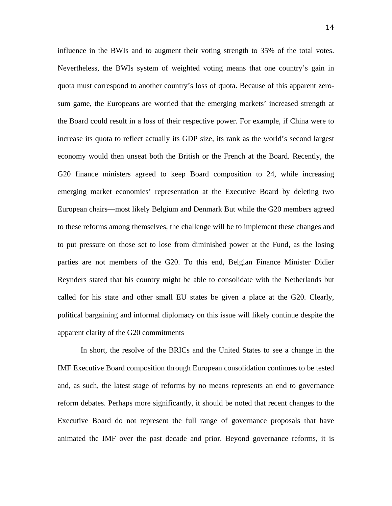influence in the BWIs and to augment their voting strength to 35% of the total votes. Nevertheless, the BWIs system of weighted voting means that one country's gain in quota must correspond to another country's loss of quota. Because of this apparent zerosum game, the Europeans are worried that the emerging markets' increased strength at the Board could result in a loss of their respective power. For example, if China were to increase its quota to reflect actually its GDP size, its rank as the world's second largest economy would then unseat both the British or the French at the Board. Recently, the G20 finance ministers agreed to keep Board composition to 24, while increasing emerging market economies' representation at the Executive Board by deleting two European chairs—most likely Belgium and Denmark But while the G20 members agreed to these reforms among themselves, the challenge will be to implement these changes and to put pressure on those set to lose from diminished power at the Fund, as the losing parties are not members of the G20. To this end, Belgian Finance Minister Didier Reynders stated that his country might be able to consolidate with the Netherlands but called for his state and other small EU states be given a place at the G20. Clearly, political bargaining and informal diplomacy on this issue will likely continue despite the apparent clarity of the G20 commitments

In short, the resolve of the BRICs and the United States to see a change in the IMF Executive Board composition through European consolidation continues to be tested and, as such, the latest stage of reforms by no means represents an end to governance reform debates. Perhaps more significantly, it should be noted that recent changes to the Executive Board do not represent the full range of governance proposals that have animated the IMF over the past decade and prior. Beyond governance reforms, it is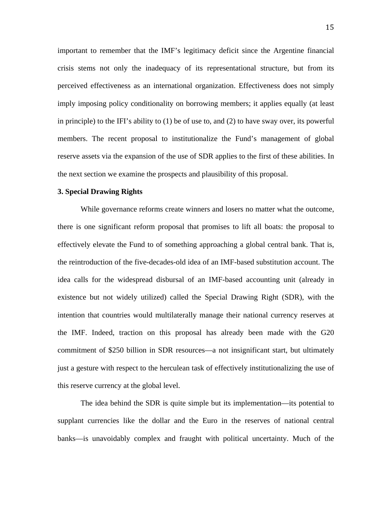important to remember that the IMF's legitimacy deficit since the Argentine financial crisis stems not only the inadequacy of its representational structure, but from its perceived effectiveness as an international organization. Effectiveness does not simply imply imposing policy conditionality on borrowing members; it applies equally (at least in principle) to the IFI's ability to (1) be of use to, and (2) to have sway over, its powerful members. The recent proposal to institutionalize the Fund's management of global reserve assets via the expansion of the use of SDR applies to the first of these abilities. In the next section we examine the prospects and plausibility of this proposal.

#### **3. Special Drawing Rights**

While governance reforms create winners and losers no matter what the outcome, there is one significant reform proposal that promises to lift all boats: the proposal to effectively elevate the Fund to of something approaching a global central bank. That is, the reintroduction of the five-decades-old idea of an IMF-based substitution account. The idea calls for the widespread disbursal of an IMF-based accounting unit (already in existence but not widely utilized) called the Special Drawing Right (SDR), with the intention that countries would multilaterally manage their national currency reserves at the IMF. Indeed, traction on this proposal has already been made with the G20 commitment of \$250 billion in SDR resources—a not insignificant start, but ultimately just a gesture with respect to the herculean task of effectively institutionalizing the use of this reserve currency at the global level.

The idea behind the SDR is quite simple but its implementation—its potential to supplant currencies like the dollar and the Euro in the reserves of national central banks—is unavoidably complex and fraught with political uncertainty. Much of the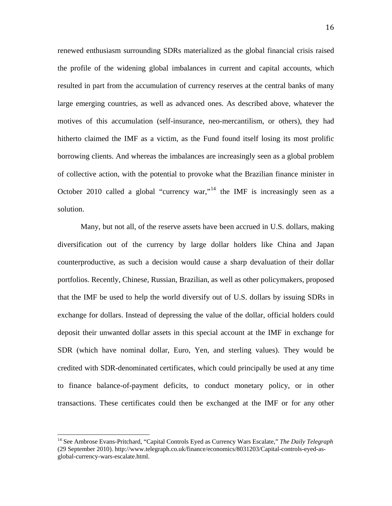solution . renewed enthusiasm surrounding SDRs materialized as the global financial crisis raised the profile of the widening global imbalances in current and capital accounts, which resulted in part from the accumulation of currency reserves at the central banks of many large emerging countries, as well as advanced ones. As described above, whatever the motives of this accumulation (self-insurance, neo-mercantilism, or others), they had hitherto claimed the IMF as a victim, as the Fund found itself losing its most prolific borrowing clients. And whereas the imbalances are increasingly seen as a global problem of collective action, with the potential to provoke what the Brazilian finance minister in October 2010 called a global "currency war,"<sup>[14](#page-15-0)</sup> the IMF is increasingly seen as a

Many, but not all, of the reserve assets have been accrued in U.S. dollars, making diversification out of the currency by large dollar holders like China and Japan counterproductive, as such a decision would cause a sharp devaluation of their dollar portfolios. Recently, Chinese, Russian, Brazilian, as well as other policymakers, proposed that the IMF be used to help the world diversify out of U.S. dollars by issuing SDRs in exchange for dollars. Instead of depressing the value of the dollar, official holders could deposit their unwanted dollar assets in this special account at the IMF in exchange for SDR (which have nominal dollar, Euro, Yen, and sterling values). They would be credited with SDR-denominated certificates, which could principally be used at any time to finance balance-of-payment deficits, to conduct monetary policy, or in other transactions. These certificates could then be exchanged at the IMF or for any other

<span id="page-15-0"></span><sup>14</sup> See Ambrose Evans-Pritchard, "Capital Controls Eyed as Currency Wars Escalate," *The Daily Telegraph* (29 September 2010). http://www.telegraph.co.uk/finance/economics/8031203/Capital-controls-eyed-asglobal-currency-wars-escalate.html.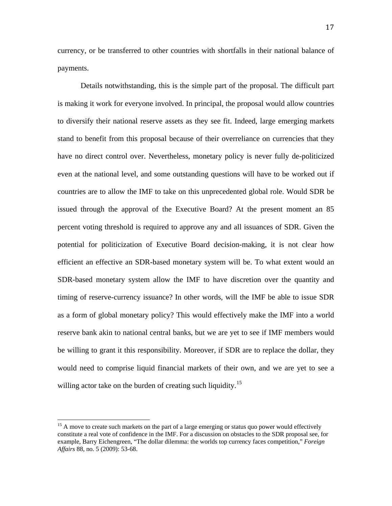currenc y, or be transferred to other countries with shortfalls in their national balance of payments.

be willing to grant it this responsibility. Moreover, if SDR are to replace the dollar, they would need to comprise liquid financial markets of their own, and we are yet to see a Details notwithstanding, this is the simple part of the proposal. The difficult part is making it work for everyone involved. In principal, the proposal would allow countries to diversify their national reserve assets as they see fit. Indeed, large emerging markets stand to benefit from this proposal because of their overreliance on currencies that they have no direct control over. Nevertheless, monetary policy is never fully de-politicized even at the national level, and some outstanding questions will have to be worked out if countries are to allow the IMF to take on this unprecedented global role. Would SDR be issued through the approval of the Executive Board? At the present moment an 85 percent voting threshold is required to approve any and all issuances of SDR. Given the potential for politicization of Executive Board decision-making, it is not clear how efficient an effective an SDR-based monetary system will be. To what extent would an SDR-based monetary system allow the IMF to have discretion over the quantity and timing of reserve-currency issuance? In other words, will the IMF be able to issue SDR as a form of global monetary policy? This would effectively make the IMF into a world reserve bank akin to national central banks, but we are yet to see if IMF members would willing actor take on the burden of creating such liquidity.<sup>15</sup>

<sup>&</sup>lt;sup>15</sup> A move to create such markets on the part of a large emerging or status quo power would effectively constitute a real vote of confidence in the IMF. For a discussion on obstacles to the SDR proposal see, for example, Barry Eichengreen, "The dollar dilemma: the worlds top currency faces competition," *Foreign Affairs* 88, no. 5 (2009): 53-68.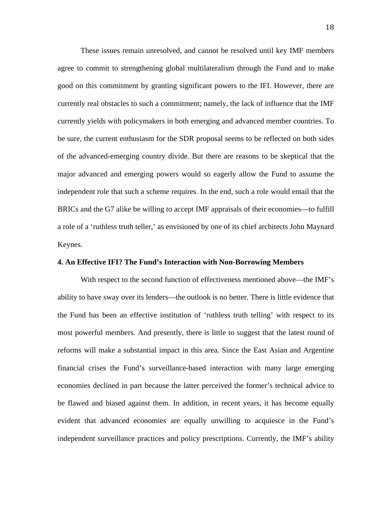independent role that such a scheme requires. In the end, such a role would entail that the BRICs and the G7 alike be willing to accept IMF appraisals of their economies—to fulfill a role o f a 'ruthless truth teller,' as envisioned by one of its chief architects John Maynard These issues remain unresolved, and cannot be resolved until key IMF members agree to commit to strengthening global multilateralism through the Fund and to make good on this commitment by granting significant powers to the IFI. However, there are currently real obstacles to such a commitment; namely, the lack of influence that the IMF currently yields with policymakers in both emerging and advanced member countries. To be sure, the current enthusiasm for the SDR proposal seems to be reflected on both sides of the advanced-emerging country divide. But there are reasons to be skeptical that the major advanced and emerging powers would so eagerly allow the Fund to assume the Keynes.

### **4. An Effective IFI? The Fund's Interaction with Non-Borrowing Members**

With respect to the second function of effectiveness mentioned above—the IMF's ability to have sway over its lenders—the outlook is no better. There is little evidence that the Fund has been an effective institution of 'ruthless truth telling' with respect to its most powerful members. And presently, there is little to suggest that the latest round of reforms will make a substantial impact in this area. Since the East Asian and Argentine financial crises the Fund's surveillance-based interaction with many large emerging economies declined in part because the latter perceived the former's technical advice to be flawed and biased against them. In addition, in recent years, it has become equally evident that advanced economies are equally unwilling to acquiesce in the Fund's independent surveillance practices and policy prescriptions. Currently, the IMF's ability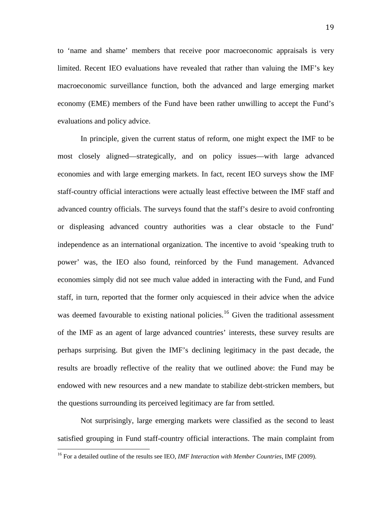limited. Recent IEO evaluations have revealed that rather than valuing the IMF's key macroe conomic surveillance function, both the advanced and large emerging market to 'name and shame' members that receive poor macroeconomic appraisals is very economy (EME) members of the Fund have been rather unwilling to accept the Fund's evaluations and policy advice.

perhaps surprising. But given the IMF's declining legitimacy in the past decade, the results are broadly reflective of the reality that we outlined above: the Fund may be In principle, given the current status of reform, one might expect the IMF to be most closely aligned—strategically, and on policy issues—with large advanced economies and with large emerging markets. In fact, recent IEO surveys show the IMF staff-country official interactions were actually least effective between the IMF staff and advanced country officials. The surveys found that the staff's desire to avoid confronting or displeasing advanced country authorities was a clear obstacle to the Fund' independence as an international organization. The incentive to avoid 'speaking truth to power' was, the IEO also found, reinforced by the Fund management. Advanced economies simply did not see much value added in interacting with the Fund, and Fund staff, in turn, reported that the former only acquiesced in their advice when the advice was deemed favourable to existing national policies.<sup>[16](#page-18-0)</sup> Given the traditional assessment of the IMF as an agent of large advanced countries' interests, these survey results are endowed with new resources and a new mandate to stabilize debt-stricken members, but the questions surrounding its perceived legitimacy are far from settled.

satisfied grouping in Fund staff-country official interactions. The main complaint from Not surprisingly, large emerging markets were classified as the second to least

<span id="page-18-0"></span><sup>16</sup> For a detailed outline of the results see IEO, *IMF Interaction with Member Countries*, IMF (2009).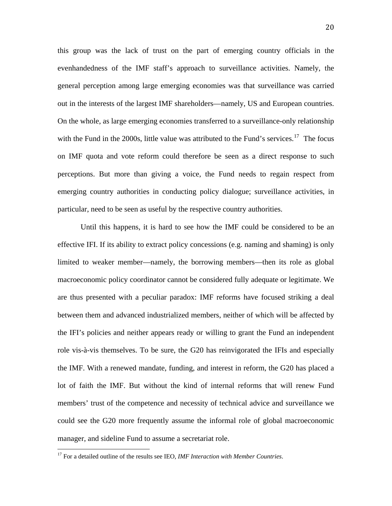on IMF quota and vote reform could therefore be seen as a direct response to such percept ions. But more than giving a voice, the Fund needs to regain respect from this group was the lack of trust on the part of emerging country officials in the evenhandedness of the IMF staff's approach to surveillance activities. Namely, the general perception among large emerging economies was that surveillance was carried out in the interests of the largest IMF shareholders—namely, US and European countries. On the whole, as large emerging economies transferred to a surveillance-only relationship with the Fund in the 2000s, little value was attributed to the Fund's services.<sup>[17](#page-19-0)</sup> The focus emerging country authorities in conducting policy dialogue; surveillance activities, in particular, need to be seen as useful by the respective country authorities.

lot of faith the IMF. But without the kind of internal reforms that will renew Fund members' trust of the competence and necessity of technical advice and surveillance we could s ee the G20 more frequently assume the informal role of global macroeconomic manager, and sideline Fund to assume a secretariat role. Until this happens, it is hard to see how the IMF could be considered to be an effective IFI. If its ability to extract policy concessions (e.g. naming and shaming) is only limited to weaker member—namely, the borrowing members—then its role as global macroeconomic policy coordinator cannot be considered fully adequate or legitimate. We are thus presented with a peculiar paradox: IMF reforms have focused striking a deal between them and advanced industrialized members, neither of which will be affected by the IFI's policies and neither appears ready or willing to grant the Fund an independent role vis-à-vis themselves. To be sure, the G20 has reinvigorated the IFIs and especially the IMF. With a renewed mandate, funding, and interest in reform, the G20 has placed a

<span id="page-19-0"></span><sup>17</sup> For a detailed outline of the results see IEO, *IMF Interaction with Member Countries*.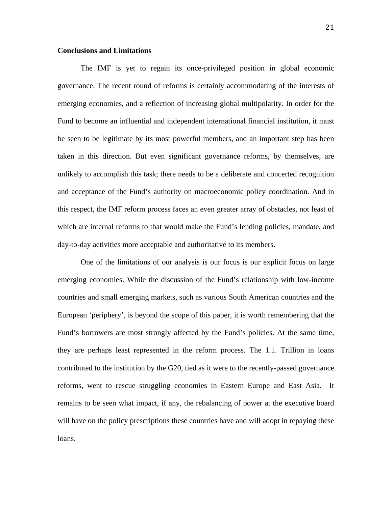## **Conclusions and Limitations**

and acceptance of the Fund's authority on macroeconomic policy coordination. And in this res pect, the IMF reform process faces an even greater array of obstacles, not least of The IMF is yet to regain its once-privileged position in global economic governance. The recent round of reforms is certainly accommodating of the interests of emerging economies, and a reflection of increasing global multipolarity. In order for the Fund to become an influential and independent international financial institution, it must be seen to be legitimate by its most powerful members, and an important step has been taken in this direction. But even significant governance reforms, by themselves, are unlikely to accomplish this task; there needs to be a deliberate and concerted recognition which are internal reforms to that would make the Fund's lending policies, mandate, and day-to-day activities more acceptable and authoritative to its members.

reforms, went to rescue struggling economies in Eastern Europe and East Asia. It remain s to be seen what impact, if any, the rebalancing of power at the executive board One of the limitations of our analysis is our focus is our explicit focus on large emerging economies. While the discussion of the Fund's relationship with low-income countries and small emerging markets, such as various South American countries and the European 'periphery', is beyond the scope of this paper, it is worth remembering that the Fund's borrowers are most strongly affected by the Fund's policies. At the same time, they are perhaps least represented in the reform process. The 1.1. Trillion in loans contributed to the institution by the G20, tied as it were to the recently-passed governance will have on the policy prescriptions these countries have and will adopt in repaying these loans.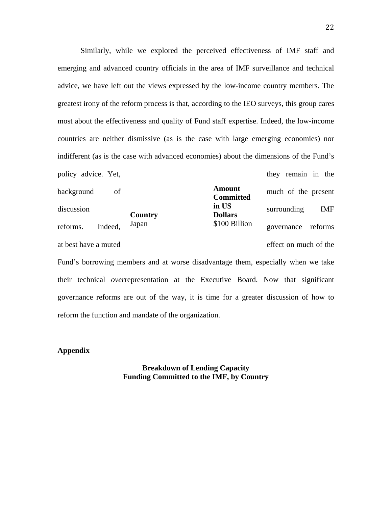policy advice. Yet, in the set of they remain in the policy advice. Yet, Similarly, while we explored the perceived effectiveness of IMF staff and emerging and advanced country officials in the area of IMF surveillance and technical advice, we have left out the views expressed by the low-income country members. The greatest irony of the reform process is that, according to the IEO surveys, this group cares most about the effectiveness and quality of Fund staff expertise. Indeed, the low-income countries are neither dismissive (as is the case with large emerging economies) nor indifferent (as is the case with advanced economies) about the dimensions of the Fund's

 $\frac{m}{s}$  iscussion g  $\frac{m}{s}$  is  $\frac{m}{s}$  is surrounding IMF background of **EXECUTE OF THE OCCUPATION** much of the present reforms. Indeed, Japan 5100 Billion governance reforms at best have a muted effect on much of the **Country Amount Committed in US Dollars**  \$100 Billion

Fund's borrowing members and at worse disadvantage them, especially when we take their technical overrepresentation at the Executive Board. Now that significant governance reforms are out of the way, it is time for a greater discussion of how to reform the function and mandate of the organization.

## Appendix

**Breakdown of Lending Capacity Funding Committed to the IMF, by Country**